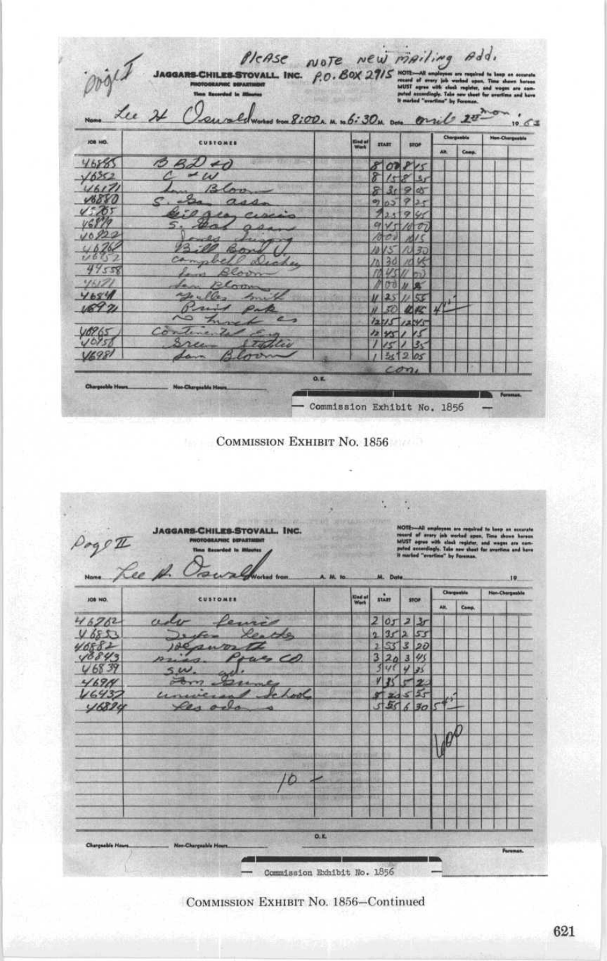|                      | Townlines m 8:00. n n 6:30n on one 0 200<br>Lu 21 |                       |                |                         |           |             |       |            | $10^{6}63$             |  |
|----------------------|---------------------------------------------------|-----------------------|----------------|-------------------------|-----------|-------------|-------|------------|------------------------|--|
| JOB HID.             | <b>CUSTOMER</b>                                   | <b>God of</b><br>Work | <b>START</b>   |                         |           | <b>STOP</b> |       | Chargasble | <b>Non-Cleargeable</b> |  |
|                      |                                                   |                       |                |                         |           | AH.         | Comp. |            |                        |  |
| 46885                | 19<br>B2H                                         |                       | 800815         |                         |           |             |       |            |                        |  |
| $\sqrt{6552}$        | $\sim \omega$                                     |                       |                |                         | 1585      |             |       |            |                        |  |
| 4617<br><b>V6880</b> | B(nn)                                             |                       | 3 <sub>c</sub> | e                       | <b>IN</b> |             |       |            |                        |  |
| 1.01                 | $a_{d,d}$                                         |                       | Ø3<br>4.3.     |                         |           |             |       |            |                        |  |
|                      | $\ell_{A}$ $\rho_{I}$                             |                       |                | $3 + 79$                | ı         |             |       |            |                        |  |
| 10920                |                                                   |                       |                |                         |           |             |       |            |                        |  |
| 4676                 |                                                   |                       |                |                         |           |             |       |            |                        |  |
| 11621                | am<br>bell Dich                                   |                       |                |                         |           |             |       |            |                        |  |
| 44558                | Rearn                                             |                       |                |                         |           |             |       |            |                        |  |
| 46171                | Plan                                              |                       |                |                         |           |             |       |            |                        |  |
| 4684                 | $PO_{2-1}$                                        |                       |                |                         | ez        |             |       |            |                        |  |
| 18971                | Print Pa                                          |                       |                |                         | 45        |             |       |            |                        |  |
|                      |                                                   |                       |                |                         |           |             |       |            |                        |  |
| 8965                 | Continente                                        |                       |                |                         |           |             |       |            |                        |  |
| 101c                 | tter                                              |                       |                |                         | 33        |             |       |            |                        |  |
| 195                  |                                                   |                       | 叔              | $\overline{\mathbf{2}}$ | 105       |             |       |            |                        |  |

COMMISSION EXHIBIT NO. 1856

t, **JAGGARS-CHILES-STOVALL. INC.** Page II sur  $\overline{\sigma}$ Ξ.  $\overline{\phantom{a}}$ **JOB NO.** ind of  $\ddot{m}$ Łu stor Comp. AH. ceda 46762  $|o<sub>J</sub>$  $\overline{z}$  $\overline{y}$ 6853  $\overline{3}$  $\overline{1}$  $169A$ Lool  $55$  $16437$ 16824  $55630$ 10 z  $0.1$ ile No - Commission Exhibit No. 1856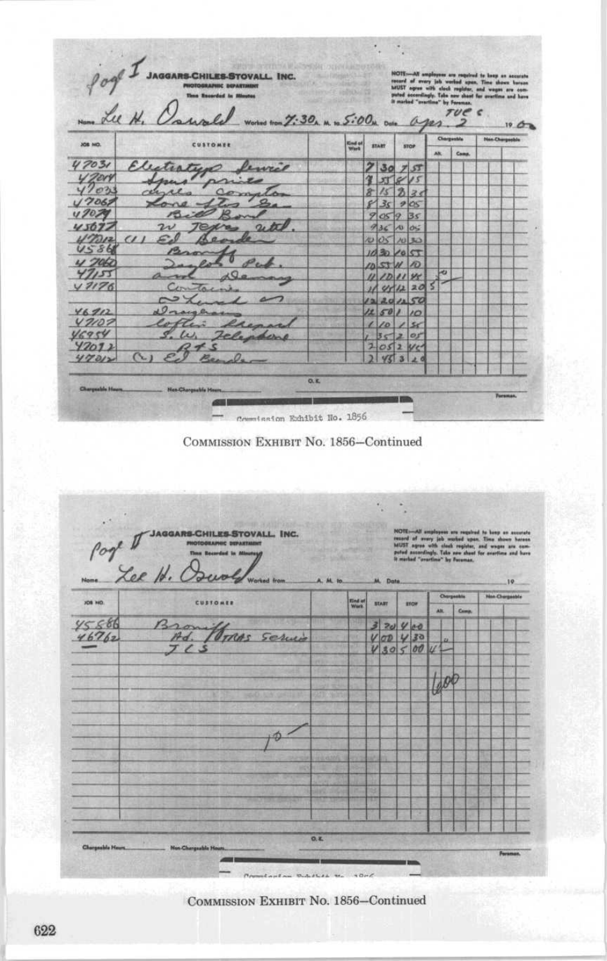|         | Name Lee H.<br>swale works now 7:30, m to 5:00m one ages |                 |              |              |                |     |              | Chargestele |  | 19C <sub>B</sub><br><b>Non-Chargeoble</b> |
|---------|----------------------------------------------------------|-----------------|--------------|--------------|----------------|-----|--------------|-------------|--|-------------------------------------------|
| JOB NO. | CUSTOMER                                                 | Kind of<br>Warb | <b>START</b> |              | <b>STOP</b>    |     | AR.<br>Cama. |             |  |                                           |
| 47031   | Electristen fewel                                        |                 |              | 30           |                | 7.5 |              |             |  |                                           |
| y zen   | frans<br>prio                                            |                 |              |              |                |     |              |             |  |                                           |
| 4703    | rer<br>Complete                                          |                 |              |              | $\mathcal{B}$  | 28  |              |             |  |                                           |
| 17062   | $\mathcal{L}_{\mathcal{L}_{\mathcal{L}}}$<br>Long Sla    |                 | $\epsilon$   | $35 - 905$   |                |     |              |             |  |                                           |
| 0707    |                                                          |                 |              | 9059         |                | 35  |              |             |  |                                           |
| 45697   | $a_x$<br>$2\nu$<br>784                                   |                 |              | 9361005      |                |     |              |             |  |                                           |
| 117712  | $(1)$ $\mathcal{L}_1$                                    |                 |              | 005005       |                |     |              |             |  |                                           |
| US86    | 2200                                                     |                 |              | 1030/057     |                |     |              |             |  |                                           |
| $U$ 700 | $ \rho_{\sigma}$                                         |                 |              | $1057$ 11 10 |                |     |              |             |  |                                           |
| 47155   | Demany                                                   |                 |              | 11111111     |                |     | ى            |             |  |                                           |
| 47176   | Containe                                                 |                 |              | 1141220      |                |     | 5            |             |  |                                           |
|         |                                                          |                 |              | 120150       |                |     |              |             |  |                                           |
| 46912   | Viroughs                                                 |                 |              | 1250110      |                |     |              |             |  |                                           |
| 47107   | Coften<br>Renar                                          |                 |              | 1015         |                |     |              |             |  |                                           |
| 46954   | W. Jelephone                                             |                 | m            | $3 - 205$    |                |     |              |             |  |                                           |
| 42012   | a 4                                                      |                 |              | 2052         |                |     |              |             |  |                                           |
| 47012   |                                                          |                 |              |              | 3 <sup>1</sup> |     |              |             |  |                                           |

COMMISSION EXHIBIT No. 1856-Continued

Port of SAGGARGEMENTOVALL INC.<br>Compare Meller Her Devolvement M. Do  $\overline{\alpha}$ Nos Che  $\overline{\phantom{a}}$ **Snd et**<br>Work **START ETOP** Comp. AH.  $\frac{B_2}{H_1}$  $\frac{45566}{46762}$  $37040$ <br> $700430$ <br> $430500$ Monas Service  $\theta$  $\phi$  $0.5$ Charactele He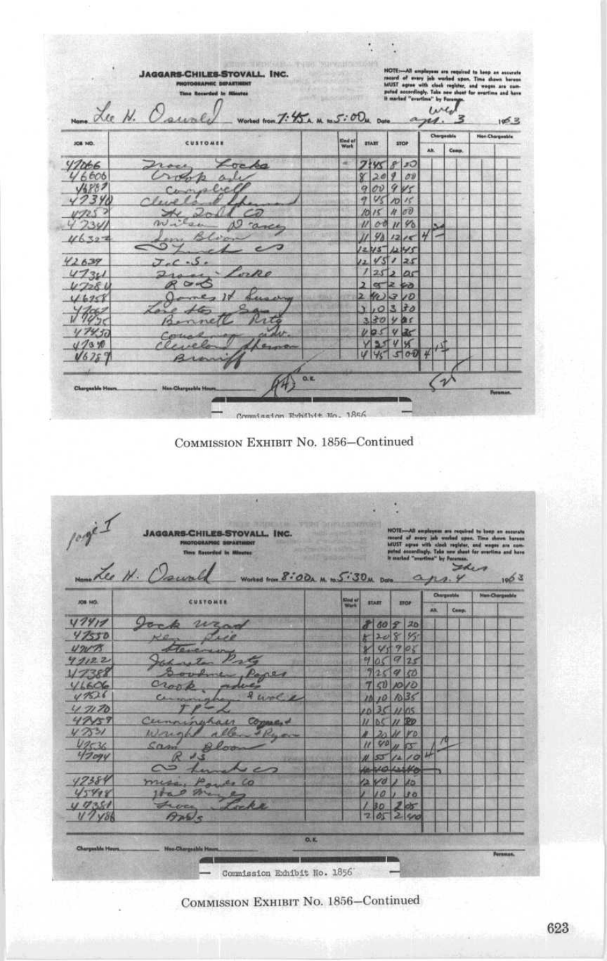|           | <b>Time Recorded In Minutes</b><br>Name Lee N. Caurly works trom T: 45 A. M. to 5:00M. Date |   |                         |                            |                          |            | $\alpha_{\mathcal{H}}$ | 114 | It marked "avertime" by Forenge. |  | puted accordingly. Take new shoot for avertime and have<br>105.3 |  |  |  |      |  |  |  |  |  |  |  |  |  |  |  |             |  |  |  |            |                       |  |
|-----------|---------------------------------------------------------------------------------------------|---|-------------------------|----------------------------|--------------------------|------------|------------------------|-----|----------------------------------|--|------------------------------------------------------------------|--|--|--|------|--|--|--|--|--|--|--|--|--|--|--|-------------|--|--|--|------------|-----------------------|--|
| JOB NO.   | <b>CUSTOMER</b>                                                                             |   | <b>BYART</b>            |                            | Sind of                  |            |                        |     |                                  |  |                                                                  |  |  |  | Wark |  |  |  |  |  |  |  |  |  |  |  | <b>STOP</b> |  |  |  | Chargesbia | <b>Non-Chargeable</b> |  |
|           |                                                                                             |   |                         |                            |                          |            | AM.                    |     | Comp.                            |  |                                                                  |  |  |  |      |  |  |  |  |  |  |  |  |  |  |  |             |  |  |  |            |                       |  |
| 47066     | $\sqrt{a}$<br>Lovel                                                                         | × |                         | 7.90                       | ø                        | 50         |                        |     |                                  |  |                                                                  |  |  |  |      |  |  |  |  |  |  |  |  |  |  |  |             |  |  |  |            |                       |  |
| 46000     |                                                                                             |   | $\propto$               | 20                         | V.                       | $\sigma v$ |                        |     |                                  |  |                                                                  |  |  |  |      |  |  |  |  |  |  |  |  |  |  |  |             |  |  |  |            |                       |  |
|           | Conselle                                                                                    |   |                         | ov.<br>$\ddot{Q}$          |                          | 9v<        |                        |     |                                  |  |                                                                  |  |  |  |      |  |  |  |  |  |  |  |  |  |  |  |             |  |  |  |            |                       |  |
|           | $\int f(x,y) dx$                                                                            |   |                         | VS<br>a                    |                          | 1015       |                        |     | ×                                |  |                                                                  |  |  |  |      |  |  |  |  |  |  |  |  |  |  |  |             |  |  |  |            |                       |  |
|           |                                                                                             |   |                         | m<br>15                    | n                        | 00         |                        |     |                                  |  |                                                                  |  |  |  |      |  |  |  |  |  |  |  |  |  |  |  |             |  |  |  |            |                       |  |
|           | O cance                                                                                     |   |                         | 00                         |                          | 1190       |                        |     |                                  |  |                                                                  |  |  |  |      |  |  |  |  |  |  |  |  |  |  |  |             |  |  |  |            |                       |  |
| 16322     |                                                                                             |   |                         |                            |                          | 981215     | H                      |     |                                  |  |                                                                  |  |  |  |      |  |  |  |  |  |  |  |  |  |  |  |             |  |  |  |            |                       |  |
|           | $\subset$<br>$-$                                                                            |   |                         | 1245 1245                  |                          |            |                        |     |                                  |  |                                                                  |  |  |  |      |  |  |  |  |  |  |  |  |  |  |  |             |  |  |  |            |                       |  |
| 42639     | $J_{-1}C_{-2}S_{-1}$                                                                        |   |                         | $\frac{1}{2}$              |                          | 45125      |                        |     |                                  |  |                                                                  |  |  |  |      |  |  |  |  |  |  |  |  |  |  |  |             |  |  |  |            |                       |  |
| 4730      | Lorpe                                                                                       |   |                         |                            |                          | 25200      |                        |     |                                  |  |                                                                  |  |  |  |      |  |  |  |  |  |  |  |  |  |  |  |             |  |  |  |            |                       |  |
| $1 - 128$ |                                                                                             |   |                         | $9 - 26$<br>$\overline{2}$ |                          |            |                        |     |                                  |  |                                                                  |  |  |  |      |  |  |  |  |  |  |  |  |  |  |  |             |  |  |  |            |                       |  |
| 1690      | Sugary                                                                                      |   | $\overline{\mathbf{z}}$ | 4030                       |                          |            |                        |     |                                  |  |                                                                  |  |  |  |      |  |  |  |  |  |  |  |  |  |  |  |             |  |  |  |            |                       |  |
|           |                                                                                             |   |                         |                            |                          | 0330       |                        |     |                                  |  |                                                                  |  |  |  |      |  |  |  |  |  |  |  |  |  |  |  |             |  |  |  |            |                       |  |
|           |                                                                                             |   |                         | 330                        | $\overline{\mathcal{L}}$ | 冷く         |                        |     |                                  |  |                                                                  |  |  |  |      |  |  |  |  |  |  |  |  |  |  |  |             |  |  |  |            |                       |  |
|           |                                                                                             |   |                         |                            |                          | 2<         |                        |     |                                  |  |                                                                  |  |  |  |      |  |  |  |  |  |  |  |  |  |  |  |             |  |  |  |            |                       |  |
|           |                                                                                             |   |                         |                            |                          |            |                        |     |                                  |  |                                                                  |  |  |  |      |  |  |  |  |  |  |  |  |  |  |  |             |  |  |  |            |                       |  |
|           | A<br>won                                                                                    |   |                         |                            |                          | 500        |                        |     |                                  |  |                                                                  |  |  |  |      |  |  |  |  |  |  |  |  |  |  |  |             |  |  |  |            |                       |  |
|           |                                                                                             |   |                         |                            |                          |            |                        |     |                                  |  |                                                                  |  |  |  |      |  |  |  |  |  |  |  |  |  |  |  |             |  |  |  |            |                       |  |

Commission Rybithit Mo. 1856

COMMISSION EXHIBIT NO. 1856-Continued

|                | Manuelle H. Downll                |                                      |              |           |                |                 |                                | It marked "practica" by Personan.<br><b>Sher</b> | puted encordingly. Teks new shoot for avertime and have |                               |
|----------------|-----------------------------------|--------------------------------------|--------------|-----------|----------------|-----------------|--------------------------------|--------------------------------------------------|---------------------------------------------------------|-------------------------------|
|                |                                   | Worked from 8:00A. M. to 5:30M. Data |              |           |                |                 | $a_{na}$<br><b>Chargestile</b> |                                                  |                                                         | 1903<br><b>Han Chargeshie</b> |
| <b>JOS NO.</b> | CUSTOMER                          | <b>Slout</b> of                      | <b>START</b> |           |                | <b>TTOP</b>     | AN:                            | Camp.                                            |                                                         |                               |
| 47417          | Jan<br>wars                       |                                      |              | 80 2      |                | 20              |                                |                                                  |                                                         |                               |
| 47550          |                                   |                                      | P.           | 208       |                | $95 -$          |                                |                                                  |                                                         |                               |
| $420 - 75$     |                                   |                                      |              | Y's       | 9              | 08              |                                |                                                  |                                                         |                               |
| 4122           |                                   |                                      | P3           |           |                | 925             |                                |                                                  |                                                         |                               |
| 17382          | 1402                              |                                      |              |           | q              | $\sigma$        |                                |                                                  |                                                         |                               |
| 41606          | Crop                              |                                      |              | (1) 10 10 |                |                 |                                |                                                  |                                                         |                               |
| 47526          | $\mathcal{Q}$<br>wole<br>Cermonic |                                      |              |           | 1034           |                 |                                |                                                  |                                                         |                               |
| 4770           |                                   |                                      |              |           |                | 21105           |                                |                                                  |                                                         |                               |
| 47459          | $Comman +$<br>Cerminahaer         |                                      |              |           | 1100           |                 |                                |                                                  |                                                         |                               |
| 4.7531         | Wough<br>allen + Ryon             |                                      |              |           |                | H VD            |                                |                                                  |                                                         |                               |
| 47536          | Sain<br>Van                       |                                      |              | 40        |                |                 |                                |                                                  |                                                         |                               |
| 420gy          |                                   |                                      |              |           | $\overline{A}$ | 10              |                                |                                                  |                                                         |                               |
|                |                                   |                                      |              |           |                |                 |                                |                                                  |                                                         |                               |
| 42384          | mess                              |                                      |              | vo        |                | 10              |                                |                                                  |                                                         |                               |
| 45498          |                                   |                                      |              | 10        |                | 30              |                                |                                                  |                                                         |                               |
| 4.7351         |                                   |                                      |              | $30^{1}$  |                | 2 <sub>ds</sub> |                                |                                                  |                                                         |                               |
| $V'/V_0$       |                                   |                                      |              | 200       |                | 200             |                                |                                                  |                                                         |                               |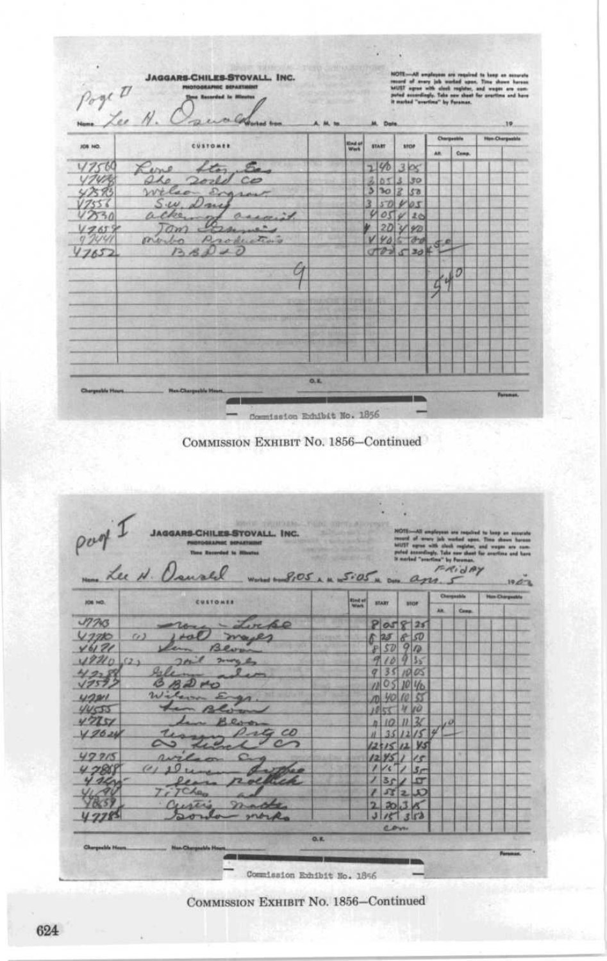| Poge D<br>Name Lee N. |                                                 | A. M. to |                        | M. Date      |    |       |       |     |             | 19.                   |  |  |
|-----------------------|-------------------------------------------------|----------|------------------------|--------------|----|-------|-------|-----|-------------|-----------------------|--|--|
| JOB NO.               | CUSTOMER                                        |          | <b>Kind of</b><br>Week | <b>START</b> |    | stron |       |     | Chergestine | <b>Han Chargeable</b> |  |  |
|                       |                                                 |          |                        |              |    |       |       | AR. | Comp.       |                       |  |  |
|                       | Lerie<br>ton<br>220                             |          |                        | ٦            | D  |       | 3x    |     |             |                       |  |  |
|                       | sold co                                         |          |                        | 3<br>δ       |    |       | 30    |     |             |                       |  |  |
|                       | Wilson Engran                                   |          |                        | з            | ъо |       | 53    |     |             |                       |  |  |
|                       | $S$ ill<br>Vaie                                 |          |                        | ż            |    |       |       |     |             |                       |  |  |
|                       | D.<br>asso                                      |          |                        | o            |    |       | 10    |     |             |                       |  |  |
|                       | C22                                             |          |                        |              |    |       | 90    |     |             |                       |  |  |
|                       | Productions<br>portralan                        |          |                        |              |    |       |       |     |             |                       |  |  |
| 7652                  | $\mathcal{F}_{\mathcal{P}_{\alpha}}$<br>the set |          |                        |              |    |       | 20520 |     |             |                       |  |  |
|                       |                                                 |          |                        |              |    |       |       |     |             |                       |  |  |
|                       |                                                 |          |                        |              |    |       |       |     | D           |                       |  |  |
|                       |                                                 |          |                        |              |    |       |       |     |             |                       |  |  |
|                       |                                                 |          |                        |              |    |       |       |     |             |                       |  |  |
|                       |                                                 |          |                        |              |    |       |       |     |             |                       |  |  |
|                       |                                                 |          |                        |              |    |       |       |     |             |                       |  |  |
|                       |                                                 |          |                        |              |    |       |       |     |             |                       |  |  |
|                       |                                                 |          |                        |              |    |       |       |     |             |                       |  |  |
|                       |                                                 |          |                        |              |    |       |       |     |             |                       |  |  |
|                       |                                                 |          |                        |              |    |       |       |     |             |                       |  |  |
| Chargeslife Hours     | <b>Hex-Chargeable Hours</b>                     | O, K     |                        |              |    |       |       |     |             |                       |  |  |
|                       |                                                 |          |                        |              |    |       |       |     |             | Faraman.              |  |  |

part JACCARSCHILESSTOVALL INC. FRIDAY SIOS AM SiOS a om ages. 5  $1967$ **Han Charg Unit of START** stor Comp **AR**  $805825$ <br> $625690$ <br> $9090$  $J7743$ ocko  $17780$  $\omega$  $6121$  $rac{10}{35}$ 2210  $(2.1)$  $10005$  $\overline{2}$  $\overline{q}$ 05 10 1/0  $\mu$  $12211$ 44555 14 jo V7251  $\overline{\mathcal{U}}$ h 10  $\overline{\mu}$  $\sqrt{a}$  $\mathcal{L}D$ V 2624  $35$  $\overline{L^2}$ 15 и  $1512$ y<sub>s</sub> b.  $42215$  $15000$ 15 7888 s, m st 95 2  $\mathfrak{a}$ 3  $17785$  $\overline{R}$ ra ž  $\overline{a}$ malific Ma

Commission Exhibit No. 1856